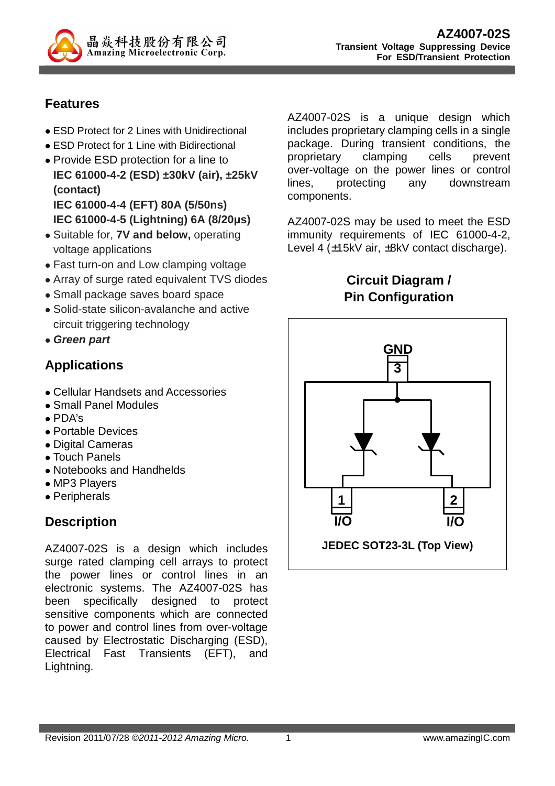

#### **Features**

- ESD Protect for 2 Lines with Unidirectional
- ESD Protect for 1 Line with Bidirectional
- Provide ESD protection for a line to **IEC 61000-4-2 (ESD) ±30kV (air), ±25kV (contact) IEC 61000-4-4 (EFT) 80A (5/50ns) IEC 61000-4-5 (Lightning) 6A (8/20µs)**
- Suitable for, **7V and below,** operating voltage applications
- Fast turn-on and Low clamping voltage
- Array of surge rated equivalent TVS diodes
- Small package saves board space
- Solid-state silicon-avalanche and active circuit triggering technology
- **Green part**

# **Applications**

- Cellular Handsets and Accessories
- Small Panel Modules
- PDA's
- Portable Devices
- Digital Cameras
- Touch Panels
- Notebooks and Handhelds
- MP3 Players
- Peripherals

### **Description**

AZ4007-02S is a design which includes surge rated clamping cell arrays to protect the power lines or control lines in an electronic systems. The AZ4007-02S has been specifically designed to protect sensitive components which are connected to power and control lines from over-voltage caused by Electrostatic Discharging (ESD), Electrical Fast Transients (EFT), and Lightning.

AZ4007-02S is a unique design which includes proprietary clamping cells in a single package. During transient conditions, the proprietary clamping cells prevent over-voltage on the power lines or control lines, protecting any downstream components.

AZ4007-02S may be used to meet the ESD immunity requirements of IEC 61000-4-2, Level 4 (±15kV air, ±8kV contact discharge).

> **Circuit Diagram / Pin Configuration**

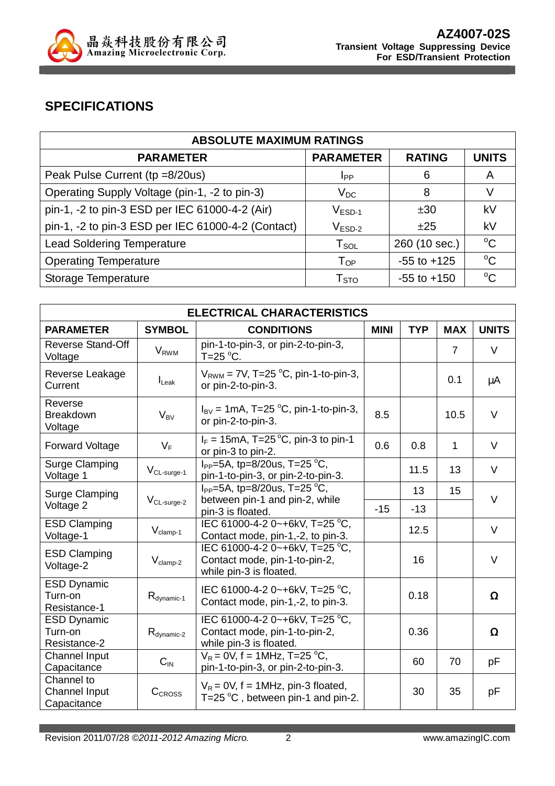

### **SPECIFICATIONS**

| <b>ABSOLUTE MAXIMUM RATINGS</b>                    |                           |                 |              |  |  |
|----------------------------------------------------|---------------------------|-----------------|--------------|--|--|
| <b>PARAMETER</b>                                   | <b>PARAMETER</b>          | <b>RATING</b>   | <b>UNITS</b> |  |  |
| Peak Pulse Current (tp =8/20us)                    | IPP                       | 6               | A            |  |  |
| Operating Supply Voltage (pin-1, -2 to pin-3)      | $V_{DC}$                  | 8               | V            |  |  |
| pin-1, -2 to pin-3 ESD per IEC 61000-4-2 (Air)     | $\rm V_{ESD-1}$           | ±30             | kV           |  |  |
| pin-1, -2 to pin-3 ESD per IEC 61000-4-2 (Contact) | $V_{ESD-2}$               | ±25             | kV           |  |  |
| <b>Lead Soldering Temperature</b>                  | $T_{\texttt{SOL}}$        | 260 (10 sec.)   | $^{\circ}C$  |  |  |
| <b>Operating Temperature</b>                       | $T_{OP}$                  | $-55$ to $+125$ | $^{\circ}C$  |  |  |
| Storage Temperature                                | $\mathsf{T}_{\text{STO}}$ | $-55$ to $+150$ | $^{\circ}C$  |  |  |

| <b>ELECTRICAL CHARACTERISTICS</b>                 |                         |                                                                                            |             |            |                |              |
|---------------------------------------------------|-------------------------|--------------------------------------------------------------------------------------------|-------------|------------|----------------|--------------|
| <b>PARAMETER</b>                                  | <b>SYMBOL</b>           | <b>CONDITIONS</b>                                                                          | <b>MINI</b> | <b>TYP</b> | <b>MAX</b>     | <b>UNITS</b> |
| <b>Reverse Stand-Off</b><br>Voltage               | <b>V</b> <sub>RWM</sub> | pin-1-to-pin-3, or pin-2-to-pin-3,<br>T=25 $\mathrm{^{\circ}C}$ .                          |             |            | $\overline{7}$ | $\vee$       |
| Reverse Leakage<br>Current                        | $I_{\text{Leak}}$       | $V_{RWM}$ = 7V, T=25 °C, pin-1-to-pin-3,<br>or pin-2-to-pin-3.                             |             |            | 0.1            | μA           |
| Reverse<br><b>Breakdown</b><br>Voltage            | $V_{BV}$                | $I_{\rm BV}$ = 1mA, T=25 °C, pin-1-to-pin-3,<br>or pin-2-to-pin-3.                         | 8.5         |            | 10.5           | $\vee$       |
| <b>Forward Voltage</b>                            | $V_F$                   | $I_F = 15 \text{mA}$ , T=25 °C, pin-3 to pin-1<br>or pin-3 to pin-2.                       | 0.6         | 0.8        | $\mathbf{1}$   | V            |
| <b>Surge Clamping</b><br>Voltage 1                | $V_{CL-surge-1}$        | $I_{PP} = 5A$ , tp=8/20us, T=25 °C.<br>pin-1-to-pin-3, or pin-2-to-pin-3.                  |             | 11.5       | 13             | V            |
| <b>Surge Clamping</b><br>Voltage 2                | V <sub>CL-surge-2</sub> | $I_{PP} = 5A$ , tp=8/20us, T=25 °C,                                                        |             | 13         | 15             | $\vee$       |
|                                                   |                         | between pin-1 and pin-2, while<br>pin-3 is floated.                                        | $-15$       | $-13$      |                |              |
| <b>ESD Clamping</b><br>Voltage-1                  | $V_{\text{clamp-1}}$    | IEC 61000-4-2 0~+6kV, T=25 °C,<br>Contact mode, pin-1,-2, to pin-3.                        |             | 12.5       |                | V            |
| <b>ESD Clamping</b><br>Voltage-2                  | $V_{clamp-2}$           | IEC 61000-4-2 0~+6kV, T=25 °C,<br>Contact mode, pin-1-to-pin-2,<br>while pin-3 is floated. |             | 16         |                | $\vee$       |
| <b>ESD Dynamic</b><br>Turn-on<br>Resistance-1     | $R_{\text{dynamic-1}}$  | IEC 61000-4-2 0~+6kV, T=25 °C,<br>Contact mode, pin-1,-2, to pin-3.                        |             | 0.18       |                | $\Omega$     |
| <b>ESD Dynamic</b><br>Turn-on<br>Resistance-2     | $R_{\text{dynamic-2}}$  | IEC 61000-4-2 0~+6kV, T=25 °C,<br>Contact mode, pin-1-to-pin-2,<br>while pin-3 is floated. |             | 0.36       |                | Ω            |
| <b>Channel Input</b><br>Capacitance               | $C_{IN}$                | $V_R = 0V$ , f = 1MHz, T=25 °C,<br>pin-1-to-pin-3, or pin-2-to-pin-3.                      |             | 60         | 70             | pF           |
| Channel to<br><b>Channel Input</b><br>Capacitance | CCROSS                  | $V_R$ = 0V, f = 1MHz, pin-3 floated,<br>T=25 $^{\circ}$ C, between pin-1 and pin-2.        |             | 30         | 35             | рF           |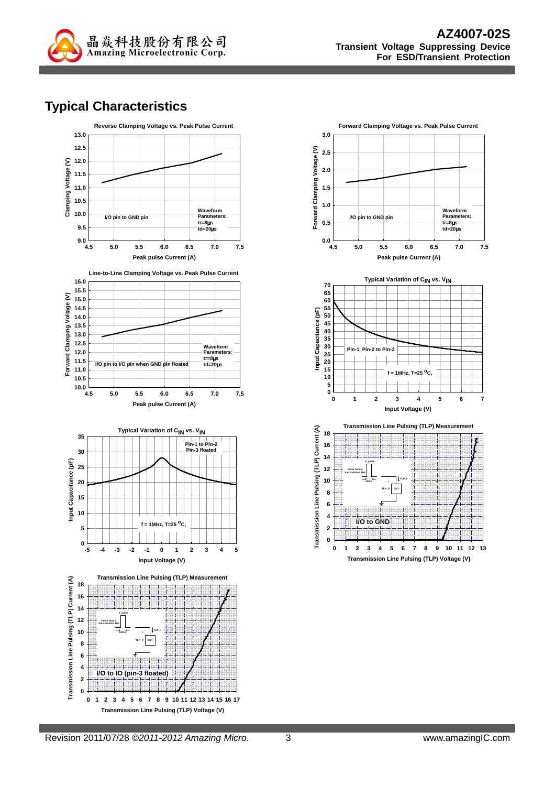

### **Typical Characteristics**





**Transmission Line Pulsing (TLP) Voltage (V)**

**0 1 2 3 4 5 6 7 8 9 10 11 12 13**

**I/O to GND**

**0 2**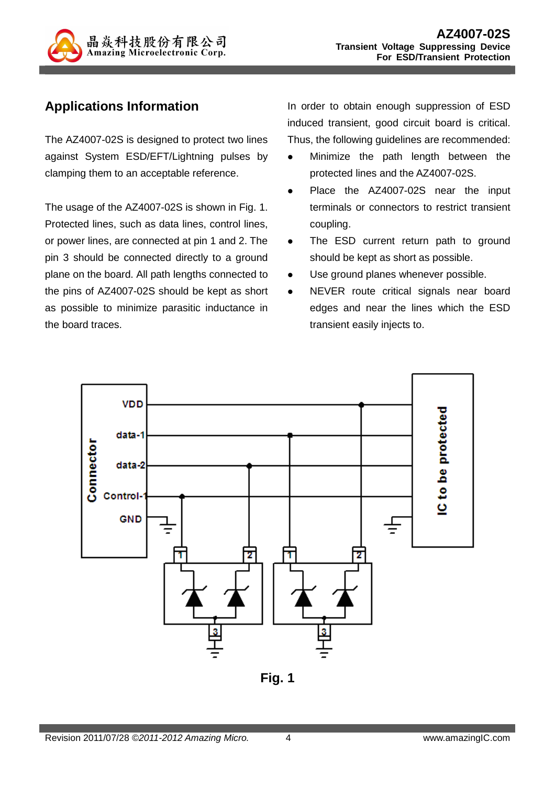

### **Applications Information**

The AZ4007-02S is designed to protect two lines against System ESD/EFT/Lightning pulses by clamping them to an acceptable reference.

The usage of the AZ4007-02S is shown in Fig. 1. Protected lines, such as data lines, control lines, or power lines, are connected at pin 1 and 2. The pin 3 should be connected directly to a ground plane on the board. All path lengths connected to the pins of AZ4007-02S should be kept as short as possible to minimize parasitic inductance in the board traces.

In order to obtain enough suppression of ESD induced transient, good circuit board is critical. Thus, the following guidelines are recommended:

- Minimize the path length between the protected lines and the AZ4007-02S.
- Place the AZ4007-02S near the input terminals or connectors to restrict transient coupling.
- The ESD current return path to ground should be kept as short as possible.
- Use ground planes whenever possible.
- NEVER route critical signals near board edges and near the lines which the ESD transient easily injects to.



**Fig. 1**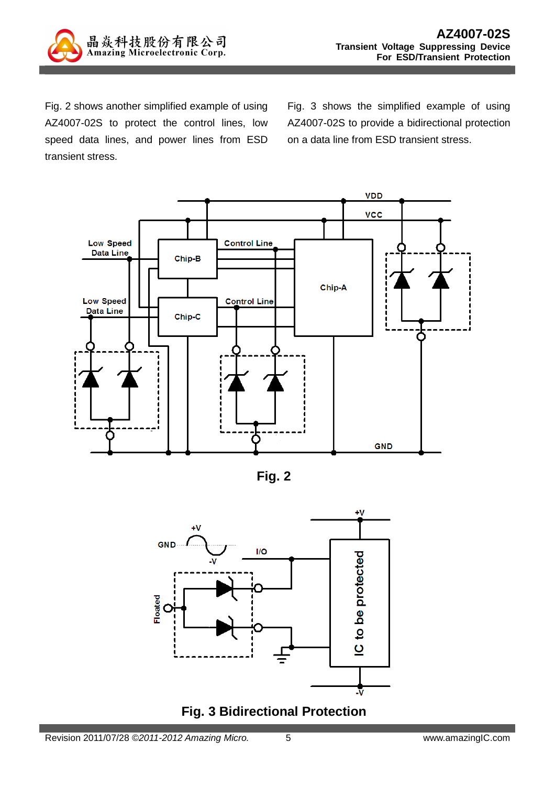

Fig. 2 shows another simplified example of using AZ4007-02S to protect the control lines, low speed data lines, and power lines from ESD transient stress.

Fig. 3 shows the simplified example of using AZ4007-02S to provide a bidirectional protection on a data line from ESD transient stress.



**Fig. 2** 



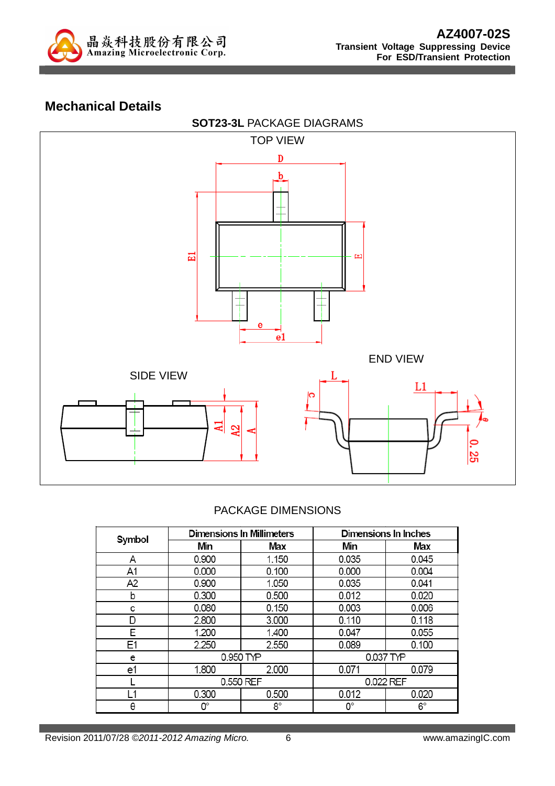

#### **Mechanical Details**



#### PACKAGE DIMENSIONS

| Symbol |           | <b>Dimensions In Millimeters</b> | Dimensions In Inches |       |  |
|--------|-----------|----------------------------------|----------------------|-------|--|
|        | Min       | Max                              | Min                  | Max   |  |
| Α      | 0.900     | 1.150                            | 0.035                | 0.045 |  |
| A1     | 0.000     | 0.100                            | 0.000                | 0.004 |  |
| A2     | 0.900     | 1.050                            | 0.035                | 0.041 |  |
| b      | 0.300     | 0.500                            | 0.012                | 0.020 |  |
| с      | 0.080     | 0.150                            | 0.003                | 0.006 |  |
| D      | 2.800     | 3.000                            | 0.110                | 0.118 |  |
| E      | 1.200     | 1.400                            | 0.047                | 0.055 |  |
| E1     | 2.250     | 2.550                            | 0.089                | 0.100 |  |
| e      | 0.950 TYP |                                  | 0.037 TYP            |       |  |
| e1     | 1.800     | 2.000                            | 0.071                | 0.079 |  |
|        | 0.550 REF |                                  | 0.022 REF            |       |  |
| l 1    | 0.300     | 0.500                            | 0.012                | 0.020 |  |
| θ      | О°        | 8°                               | О°                   | 6°    |  |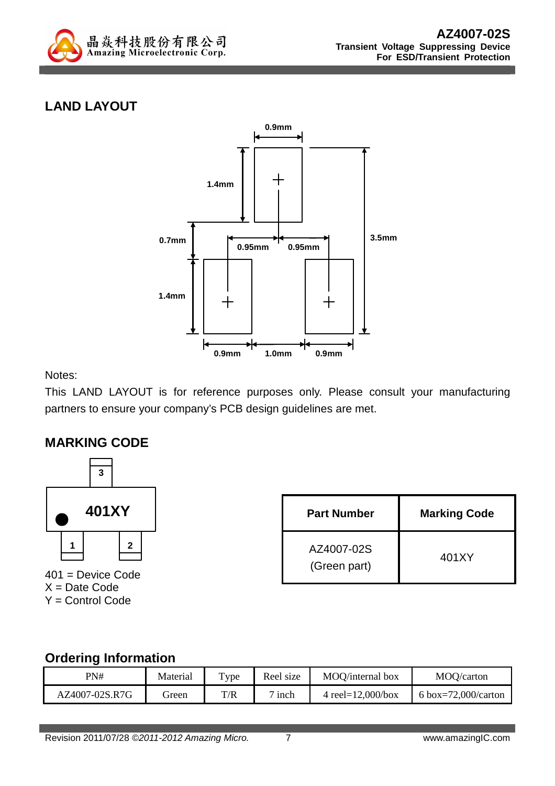

# **LAND LAYOUT**



Notes:

This LAND LAYOUT is for reference purposes only. Please consult your manufacturing partners to ensure your company's PCB design guidelines are met.

#### **MARKING CODE**



401 = Device Code  $X = Date Code$ Y = Control Code

| <b>Part Number</b>         | <b>Marking Code</b> |
|----------------------------|---------------------|
| AZ4007-02S<br>(Green part) | 401XY               |

#### **Ordering Information**

| PN#            | Material | T <sub>Y</sub> pe | Reel size              | MOO/internal box      | MOQ/carton          |
|----------------|----------|-------------------|------------------------|-----------------------|---------------------|
| AZ4007-02S.R7G | ireen    | T/R               | $\overline{ }$<br>inch | 4 reel= $12,000/b$ ox | 6 box=72,000/carton |